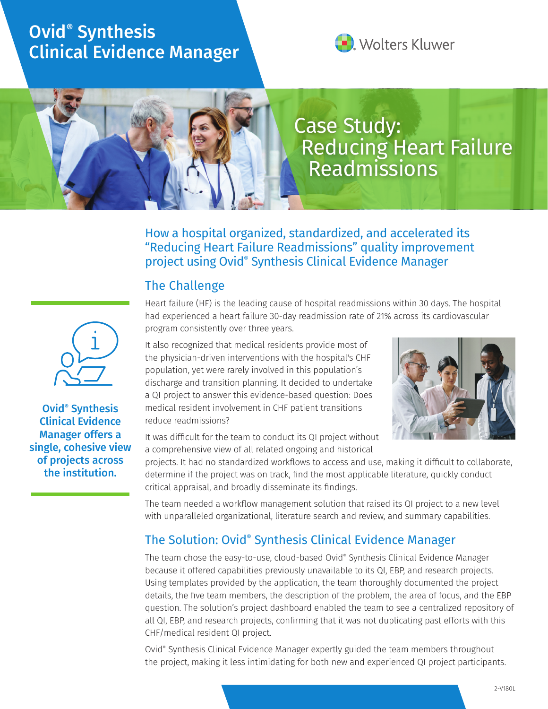## Ovid® Synthesis Clinical Evidence Manager



# Case Study: Reducing Heart Failure Readmissions

How a hospital organized, standardized, and accelerated its "Reducing Heart Failure Readmissions" quality improvement project using Ovid® Synthesis Clinical Evidence Manager

### The Challenge

Heart failure (HF) is the leading cause of hospital readmissions within 30 days. The hospital had experienced a heart failure 30-day readmission rate of 21% across its cardiovascular program consistently over three years.

It also recognized that medical residents provide most of the physician-driven interventions with the hospital's CHF population, yet were rarely involved in this population's discharge and transition planning. It decided to undertake a QI project to answer this evidence-based question: Does medical resident involvement in CHF patient transitions reduce readmissions?



It was difficult for the team to conduct its QI project without a comprehensive view of all related ongoing and historical

projects. It had no standardized workflows to access and use, making it difficult to collaborate, determine if the project was on track, find the most applicable literature, quickly conduct critical appraisal, and broadly disseminate its findings.

The team needed a workflow management solution that raised its QI project to a new level with unparalleled organizational, literature search and review, and summary capabilities.

### The Solution: Ovid® Synthesis Clinical Evidence Manager

The team chose the easy-to-use, cloud-based Ovid® Synthesis Clinical Evidence Manager because it offered capabilities previously unavailable to its QI, EBP, and research projects. Using templates provided by the application, the team thoroughly documented the project details, the five team members, the description of the problem, the area of focus, and the EBP question. The solution's project dashboard enabled the team to see a centralized repository of all QI, EBP, and research projects, confirming that it was not duplicating past efforts with this CHF/medical resident QI project.

Ovid® Synthesis Clinical Evidence Manager expertly guided the team members throughout the project, making it less intimidating for both new and experienced QI project participants.



Ovid® Synthesis Clinical Evidence Manager offers a single, cohesive view of projects across the institution.